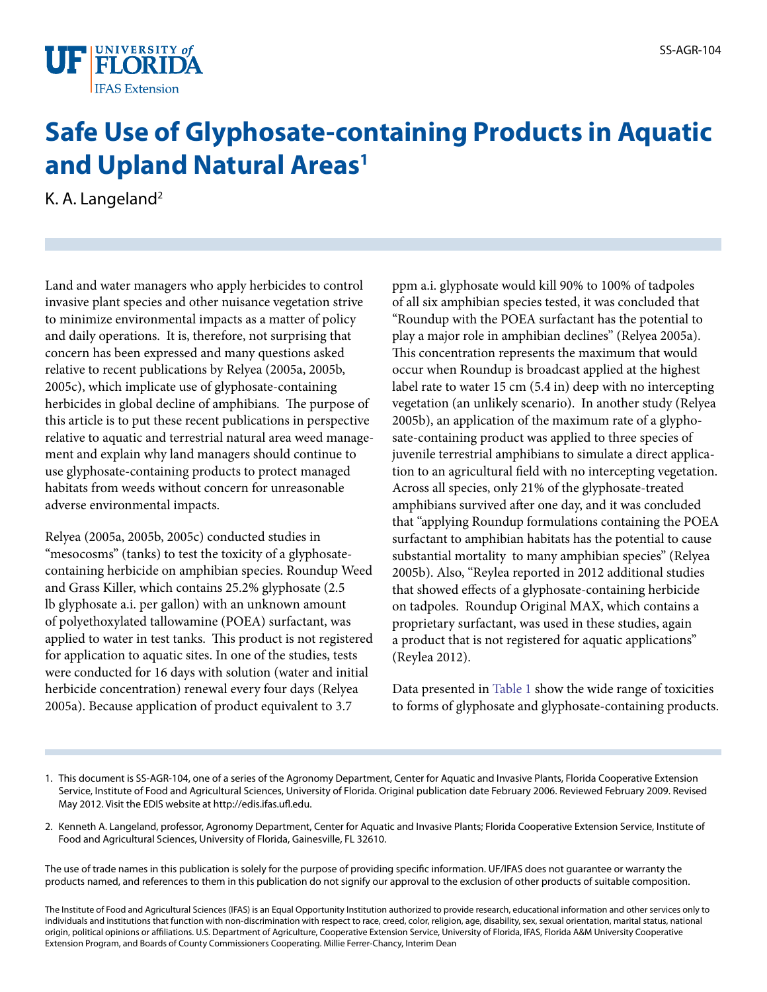

## **Safe Use of Glyphosate-containing Products in Aquatic and Upland Natural Areas<sup>1</sup>**

K. A. Langeland<sup>2</sup>

Land and water managers who apply herbicides to control invasive plant species and other nuisance vegetation strive to minimize environmental impacts as a matter of policy and daily operations. It is, therefore, not surprising that concern has been expressed and many questions asked relative to recent publications by Relyea (2005a, 2005b, 2005c), which implicate use of glyphosate-containing herbicides in global decline of amphibians. The purpose of this article is to put these recent publications in perspective relative to aquatic and terrestrial natural area weed management and explain why land managers should continue to use glyphosate-containing products to protect managed habitats from weeds without concern for unreasonable adverse environmental impacts.

Relyea (2005a, 2005b, 2005c) conducted studies in "mesocosms" (tanks) to test the toxicity of a glyphosatecontaining herbicide on amphibian species. Roundup Weed and Grass Killer, which contains 25.2% glyphosate (2.5 lb glyphosate a.i. per gallon) with an unknown amount of polyethoxylated tallowamine (POEA) surfactant, was applied to water in test tanks. This product is not registered for application to aquatic sites. In one of the studies, tests were conducted for 16 days with solution (water and initial herbicide concentration) renewal every four days (Relyea 2005a). Because application of product equivalent to 3.7

ppm a.i. glyphosate would kill 90% to 100% of tadpoles of all six amphibian species tested, it was concluded that "Roundup with the POEA surfactant has the potential to play a major role in amphibian declines" (Relyea 2005a). This concentration represents the maximum that would occur when Roundup is broadcast applied at the highest label rate to water 15 cm (5.4 in) deep with no intercepting vegetation (an unlikely scenario). In another study (Relyea 2005b), an application of the maximum rate of a glyphosate-containing product was applied to three species of juvenile terrestrial amphibians to simulate a direct application to an agricultural field with no intercepting vegetation. Across all species, only 21% of the glyphosate-treated amphibians survived after one day, and it was concluded that "applying Roundup formulations containing the POEA surfactant to amphibian habitats has the potential to cause substantial mortality to many amphibian species" (Relyea 2005b). Also, "Reylea reported in 2012 additional studies that showed effects of a glyphosate-containing herbicide on tadpoles. Roundup Original MAX, which contains a proprietary surfactant, was used in these studies, again a product that is not registered for aquatic applications" (Reylea 2012).

Data presented in [Table 1](TABLE_1_DOCUMENT_AG248) show the wide range of toxicities to forms of glyphosate and glyphosate-containing products.

- 1. This document is SS-AGR-104, one of a series of the Agronomy Department, Center for Aquatic and Invasive Plants, Florida Cooperative Extension Service, Institute of Food and Agricultural Sciences, University of Florida. Original publication date February 2006. Reviewed February 2009. Revised May 2012. Visit the EDIS website at http://edis.ifas.ufl.edu.
- 2. Kenneth A. Langeland, professor, Agronomy Department, Center for Aquatic and Invasive Plants; Florida Cooperative Extension Service, Institute of Food and Agricultural Sciences, University of Florida, Gainesville, FL 32610.

The use of trade names in this publication is solely for the purpose of providing specific information. UF/IFAS does not guarantee or warranty the products named, and references to them in this publication do not signify our approval to the exclusion of other products of suitable composition.

The Institute of Food and Agricultural Sciences (IFAS) is an Equal Opportunity Institution authorized to provide research, educational information and other services only to individuals and institutions that function with non-discrimination with respect to race, creed, color, religion, age, disability, sex, sexual orientation, marital status, national origin, political opinions or affiliations. U.S. Department of Agriculture, Cooperative Extension Service, University of Florida, IFAS, Florida A&M University Cooperative Extension Program, and Boards of County Commissioners Cooperating. Millie Ferrer-Chancy, Interim Dean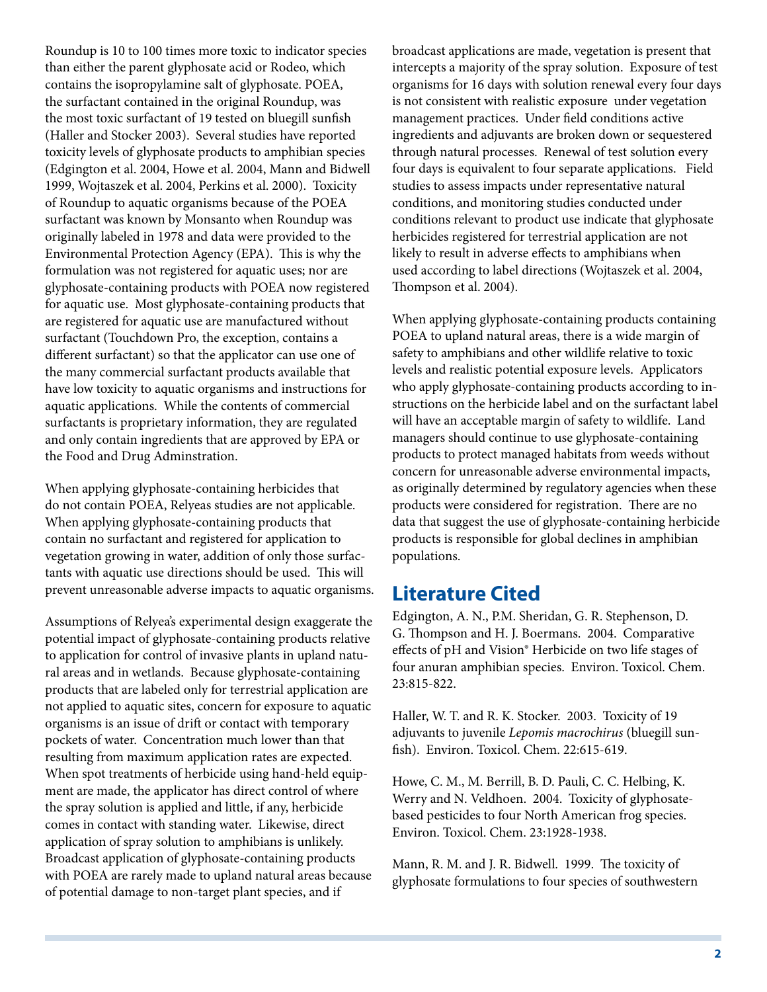Roundup is 10 to 100 times more toxic to indicator species than either the parent glyphosate acid or Rodeo, which contains the isopropylamine salt of glyphosate. POEA, the surfactant contained in the original Roundup, was the most toxic surfactant of 19 tested on bluegill sunfish (Haller and Stocker 2003). Several studies have reported toxicity levels of glyphosate products to amphibian species (Edgington et al. 2004, Howe et al. 2004, Mann and Bidwell 1999, Wojtaszek et al. 2004, Perkins et al. 2000). Toxicity of Roundup to aquatic organisms because of the POEA surfactant was known by Monsanto when Roundup was originally labeled in 1978 and data were provided to the Environmental Protection Agency (EPA). This is why the formulation was not registered for aquatic uses; nor are glyphosate-containing products with POEA now registered for aquatic use. Most glyphosate-containing products that are registered for aquatic use are manufactured without surfactant (Touchdown Pro, the exception, contains a different surfactant) so that the applicator can use one of the many commercial surfactant products available that have low toxicity to aquatic organisms and instructions for aquatic applications. While the contents of commercial surfactants is proprietary information, they are regulated and only contain ingredients that are approved by EPA or the Food and Drug Adminstration.

When applying glyphosate-containing herbicides that do not contain POEA, Relyeas studies are not applicable. When applying glyphosate-containing products that contain no surfactant and registered for application to vegetation growing in water, addition of only those surfactants with aquatic use directions should be used. This will prevent unreasonable adverse impacts to aquatic organisms.

Assumptions of Relyea's experimental design exaggerate the potential impact of glyphosate-containing products relative to application for control of invasive plants in upland natural areas and in wetlands. Because glyphosate-containing products that are labeled only for terrestrial application are not applied to aquatic sites, concern for exposure to aquatic organisms is an issue of drift or contact with temporary pockets of water. Concentration much lower than that resulting from maximum application rates are expected. When spot treatments of herbicide using hand-held equipment are made, the applicator has direct control of where the spray solution is applied and little, if any, herbicide comes in contact with standing water. Likewise, direct application of spray solution to amphibians is unlikely. Broadcast application of glyphosate-containing products with POEA are rarely made to upland natural areas because of potential damage to non-target plant species, and if

broadcast applications are made, vegetation is present that intercepts a majority of the spray solution. Exposure of test organisms for 16 days with solution renewal every four days is not consistent with realistic exposure under vegetation management practices. Under field conditions active ingredients and adjuvants are broken down or sequestered through natural processes. Renewal of test solution every four days is equivalent to four separate applications. Field studies to assess impacts under representative natural conditions, and monitoring studies conducted under conditions relevant to product use indicate that glyphosate herbicides registered for terrestrial application are not likely to result in adverse effects to amphibians when used according to label directions (Wojtaszek et al. 2004, Thompson et al. 2004).

When applying glyphosate-containing products containing POEA to upland natural areas, there is a wide margin of safety to amphibians and other wildlife relative to toxic levels and realistic potential exposure levels. Applicators who apply glyphosate-containing products according to instructions on the herbicide label and on the surfactant label will have an acceptable margin of safety to wildlife. Land managers should continue to use glyphosate-containing products to protect managed habitats from weeds without concern for unreasonable adverse environmental impacts, as originally determined by regulatory agencies when these products were considered for registration. There are no data that suggest the use of glyphosate-containing herbicide products is responsible for global declines in amphibian populations.

## **Literature Cited**

Edgington, A. N., P.M. Sheridan, G. R. Stephenson, D. G. Thompson and H. J. Boermans. 2004. Comparative effects of pH and Vision® Herbicide on two life stages of four anuran amphibian species. Environ. Toxicol. Chem. 23:815-822.

Haller, W. T. and R. K. Stocker. 2003. Toxicity of 19 adjuvants to juvenile *Lepomis macrochirus* (bluegill sunfish). Environ. Toxicol. Chem. 22:615-619.

Howe, C. M., M. Berrill, B. D. Pauli, C. C. Helbing, K. Werry and N. Veldhoen. 2004. Toxicity of glyphosatebased pesticides to four North American frog species. Environ. Toxicol. Chem. 23:1928-1938.

Mann, R. M. and J. R. Bidwell. 1999. The toxicity of glyphosate formulations to four species of southwestern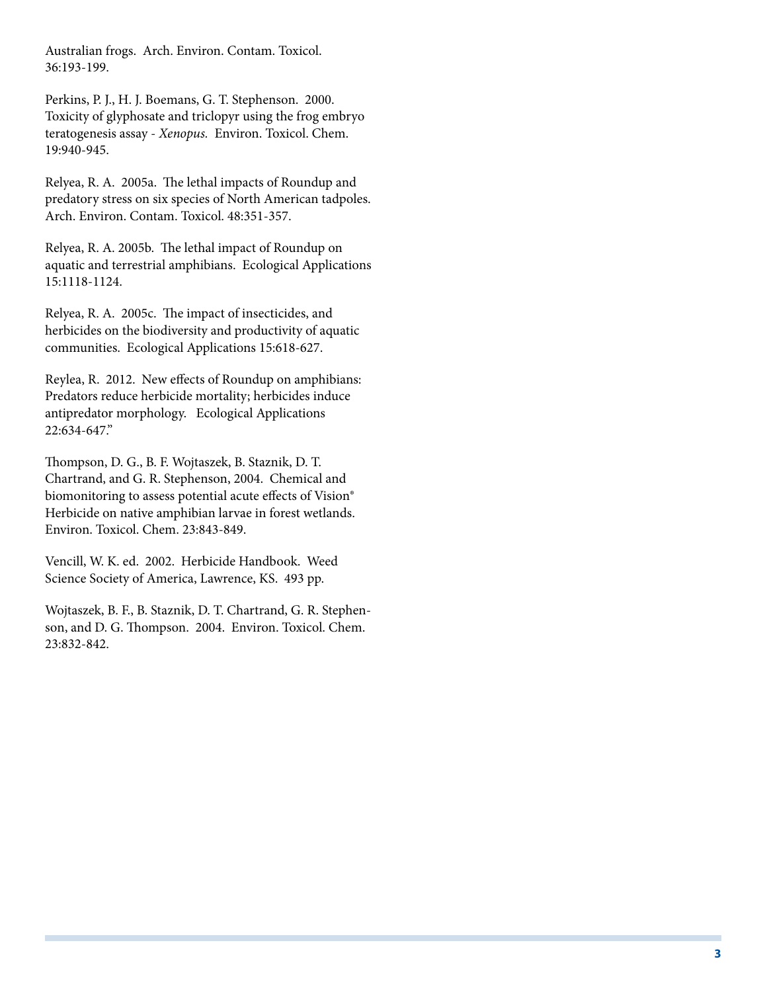Australian frogs. Arch. Environ. Contam. Toxicol. 36:193-199.

Perkins, P. J., H. J. Boemans, G. T. Stephenson. 2000. Toxicity of glyphosate and triclopyr using the frog embryo teratogenesis assay - *Xenopus.* Environ. Toxicol. Chem. 19:940-945.

Relyea, R. A. 2005a. The lethal impacts of Roundup and predatory stress on six species of North American tadpoles. Arch. Environ. Contam. Toxicol. 48:351-357.

Relyea, R. A. 2005b. The lethal impact of Roundup on aquatic and terrestrial amphibians. Ecological Applications 15:1118-1124.

Relyea, R. A. 2005c. The impact of insecticides, and herbicides on the biodiversity and productivity of aquatic communities. Ecological Applications 15:618-627.

Reylea, R. 2012. New effects of Roundup on amphibians: Predators reduce herbicide mortality; herbicides induce antipredator morphology. Ecological Applications 22:634-647."

Thompson, D. G., B. F. Wojtaszek, B. Staznik, D. T. Chartrand, and G. R. Stephenson, 2004. Chemical and biomonitoring to assess potential acute effects of Vision® Herbicide on native amphibian larvae in forest wetlands. Environ. Toxicol. Chem. 23:843-849.

Vencill, W. K. ed. 2002. Herbicide Handbook. Weed Science Society of America, Lawrence, KS. 493 pp.

Wojtaszek, B. F., B. Staznik, D. T. Chartrand, G. R. Stephenson, and D. G. Thompson. 2004. Environ. Toxicol. Chem. 23:832-842.